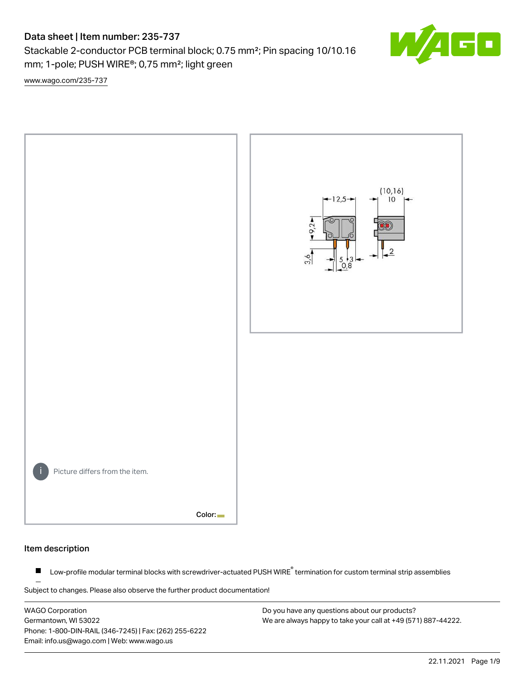# Data sheet | Item number: 235-737

Stackable 2-conductor PCB terminal block; 0.75 mm²; Pin spacing 10/10.16 mm; 1-pole; PUSH WIRE®; 0,75 mm²; light green

[www.wago.com/235-737](http://www.wago.com/235-737)



#### Item description

Low-profile modular terminal blocks with screwdriver-actuated PUSH WIRE<sup>®</sup> termination for custom terminal strip assemblies  $\blacksquare$ 

Subject to changes. Please also observe the further product documentation!

WAGO Corporation Germantown, WI 53022 Phone: 1-800-DIN-RAIL (346-7245) | Fax: (262) 255-6222 Email: info.us@wago.com | Web: www.wago.us

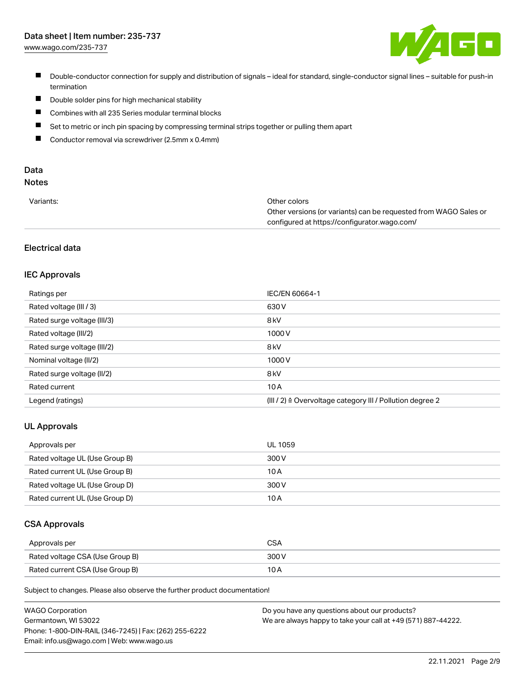# Data sheet | Item number: 235-737

[www.wago.com/235-737](http://www.wago.com/235-737)



- Double-conductor connection for supply and distribution of signals ideal for standard, single-conductor signal lines suitable for push-in termination
- $\blacksquare$ Double solder pins for high mechanical stability
- $\blacksquare$ Combines with all 235 Series modular terminal blocks
- $\blacksquare$ Set to metric or inch pin spacing by compressing terminal strips together or pulling them apart
- $\blacksquare$ Conductor removal via screwdriver (2.5mm x 0.4mm)

# Data

# Notes

| Variants: | Other colors                                                     |
|-----------|------------------------------------------------------------------|
|           | Other versions (or variants) can be requested from WAGO Sales or |
|           | configured at https://configurator.wago.com/                     |

## Electrical data

#### IEC Approvals

| Ratings per                 | IEC/EN 60664-1                                                        |
|-----------------------------|-----------------------------------------------------------------------|
| Rated voltage (III / 3)     | 630 V                                                                 |
| Rated surge voltage (III/3) | 8 <sub>kV</sub>                                                       |
| Rated voltage (III/2)       | 1000V                                                                 |
| Rated surge voltage (III/2) | 8 <sub>kV</sub>                                                       |
| Nominal voltage (II/2)      | 1000V                                                                 |
| Rated surge voltage (II/2)  | 8 <sub>kV</sub>                                                       |
| Rated current               | 10A                                                                   |
| Legend (ratings)            | $(III / 2)$ $\triangle$ Overvoltage category III / Pollution degree 2 |

#### UL Approvals

| Approvals per                  | UL 1059 |
|--------------------------------|---------|
| Rated voltage UL (Use Group B) | 300 V   |
| Rated current UL (Use Group B) | 10 A    |
| Rated voltage UL (Use Group D) | 300 V   |
| Rated current UL (Use Group D) | 10 A    |

#### CSA Approvals

| Approvals per                   | CSA   |
|---------------------------------|-------|
| Rated voltage CSA (Use Group B) | 300 V |
| Rated current CSA (Use Group B) | 10 A  |

Subject to changes. Please also observe the further product documentation!

| <b>WAGO Corporation</b>                                | Do you have any questions about our products?                 |
|--------------------------------------------------------|---------------------------------------------------------------|
| Germantown, WI 53022                                   | We are always happy to take your call at +49 (571) 887-44222. |
| Phone: 1-800-DIN-RAIL (346-7245)   Fax: (262) 255-6222 |                                                               |
| Email: info.us@wago.com   Web: www.wago.us             |                                                               |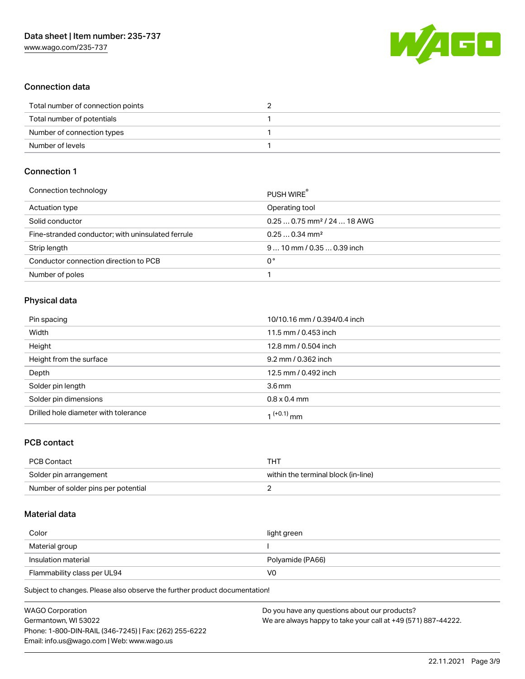

## Connection data

| Total number of connection points |  |
|-----------------------------------|--|
| Total number of potentials        |  |
| Number of connection types        |  |
| Number of levels                  |  |

## Connection 1

| PUSH WIRE                               |
|-----------------------------------------|
| Operating tool                          |
| $0.250.75$ mm <sup>2</sup> / 24  18 AWG |
| $0.250.34$ mm <sup>2</sup>              |
| $910$ mm / 0.35  0.39 inch              |
| 0°                                      |
|                                         |
|                                         |

## Physical data

| Pin spacing                          | 10/10.16 mm / 0.394/0.4 inch |
|--------------------------------------|------------------------------|
| Width                                | 11.5 mm / 0.453 inch         |
| Height                               | 12.8 mm / 0.504 inch         |
| Height from the surface              | 9.2 mm / 0.362 inch          |
| Depth                                | 12.5 mm / 0.492 inch         |
| Solder pin length                    | 3.6 <sub>mm</sub>            |
| Solder pin dimensions                | $0.8 \times 0.4$ mm          |
| Drilled hole diameter with tolerance | 1 <sup>(+0.1)</sup> mm       |

## PCB contact

| <b>PCB Contact</b>                  | THT                                 |
|-------------------------------------|-------------------------------------|
| Solder pin arrangement              | within the terminal block (in-line) |
| Number of solder pins per potential |                                     |

#### Material data

| Color                       | light green      |
|-----------------------------|------------------|
| Material group              |                  |
| Insulation material         | Polyamide (PA66) |
| Flammability class per UL94 | VO               |

Subject to changes. Please also observe the further product documentation!

| <b>WAGO Corporation</b>                                | Do you have any questions about our products?                 |
|--------------------------------------------------------|---------------------------------------------------------------|
| Germantown, WI 53022                                   | We are always happy to take your call at +49 (571) 887-44222. |
| Phone: 1-800-DIN-RAIL (346-7245)   Fax: (262) 255-6222 |                                                               |
| Email: info.us@wago.com   Web: www.wago.us             |                                                               |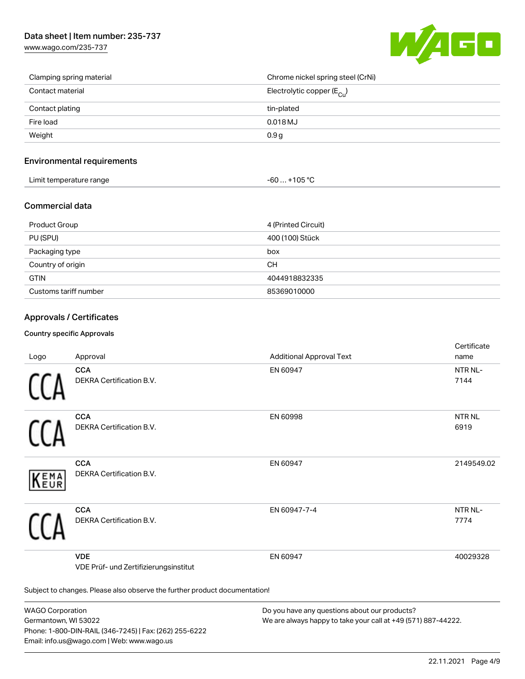[www.wago.com/235-737](http://www.wago.com/235-737)



| Clamping spring material | Chrome nickel spring steel (CrNi)       |
|--------------------------|-----------------------------------------|
| Contact material         | Electrolytic copper ( $E_{\text{Cu}}$ ) |
| Contact plating          | tin-plated                              |
| Fire load                | $0.018$ MJ                              |
| Weight                   | 0.9 <sub>g</sub>                        |

### Environmental requirements

| Limit temperature range | $-60+105 °C$ |
|-------------------------|--------------|
|-------------------------|--------------|

#### Commercial data

| Product Group         | 4 (Printed Circuit) |
|-----------------------|---------------------|
| PU (SPU)              | 400 (100) Stück     |
| Packaging type        | box                 |
| Country of origin     | CН                  |
| <b>GTIN</b>           | 4044918832335       |
| Customs tariff number | 85369010000         |

## Approvals / Certificates

#### Country specific Approvals

| Logo                                                                       | Approval                                            | <b>Additional Approval Text</b> | Certificate<br>name         |
|----------------------------------------------------------------------------|-----------------------------------------------------|---------------------------------|-----------------------------|
|                                                                            | <b>CCA</b><br>DEKRA Certification B.V.              | EN 60947                        | NTR <sub>NL</sub> -<br>7144 |
|                                                                            | <b>CCA</b><br>DEKRA Certification B.V.              | EN 60998                        | NTR <sub>NL</sub><br>6919   |
| EMA<br>EUR                                                                 | <b>CCA</b><br><b>DEKRA Certification B.V.</b>       | EN 60947                        | 2149549.02                  |
|                                                                            | <b>CCA</b><br>DEKRA Certification B.V.              | EN 60947-7-4                    | NTR NL-<br>7774             |
|                                                                            | <b>VDE</b><br>VDE Prüf- und Zertifizierungsinstitut | EN 60947                        | 40029328                    |
| Subject to changes. Please also observe the further product documentation! |                                                     |                                 |                             |

WAGO Corporation Germantown, WI 53022 Phone: 1-800-DIN-RAIL (346-7245) | Fax: (262) 255-6222 Email: info.us@wago.com | Web: www.wago.us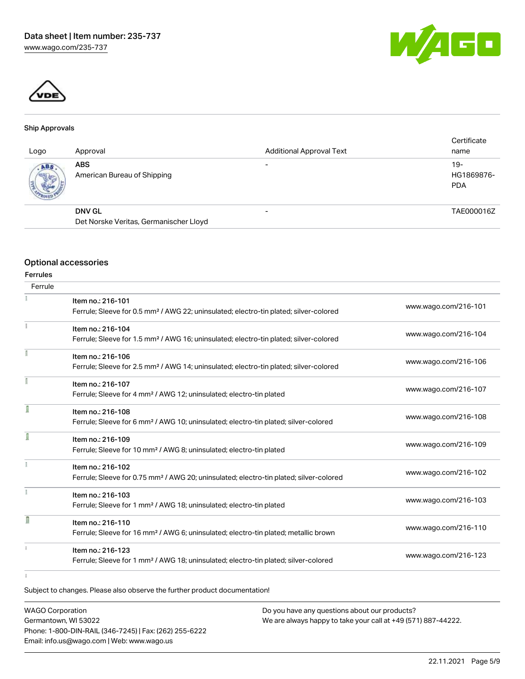



#### Ship Approvals

| Logo               | Approval                                                | <b>Additional Approval Text</b> | Certificate<br>name               |
|--------------------|---------------------------------------------------------|---------------------------------|-----------------------------------|
| ABS<br><b>SOFT</b> | <b>ABS</b><br>American Bureau of Shipping               |                                 | $19-$<br>HG1869876-<br><b>PDA</b> |
|                    | <b>DNV GL</b><br>Det Norske Veritas, Germanischer Lloyd |                                 | TAE000016Z                        |

#### Optional accessories

|                 | <b>Optional accessories</b>                                                                        |                      |
|-----------------|----------------------------------------------------------------------------------------------------|----------------------|
| <b>Ferrules</b> |                                                                                                    |                      |
| Ferrule         |                                                                                                    |                      |
|                 | Item no.: 216-101                                                                                  |                      |
|                 | Ferrule; Sleeve for 0.5 mm <sup>2</sup> / AWG 22; uninsulated; electro-tin plated; silver-colored  | www.wago.com/216-101 |
|                 | Item no.: 216-104                                                                                  |                      |
|                 | Ferrule; Sleeve for 1.5 mm <sup>2</sup> / AWG 16; uninsulated; electro-tin plated; silver-colored  | www.wago.com/216-104 |
|                 | Item no.: 216-106                                                                                  |                      |
|                 | Ferrule; Sleeve for 2.5 mm <sup>2</sup> / AWG 14; uninsulated; electro-tin plated; silver-colored  | www.wago.com/216-106 |
|                 | Item no.: 216-107                                                                                  | www.wago.com/216-107 |
|                 | Ferrule; Sleeve for 4 mm <sup>2</sup> / AWG 12; uninsulated; electro-tin plated                    |                      |
| 1               | Item no.: 216-108                                                                                  |                      |
|                 | Ferrule; Sleeve for 6 mm <sup>2</sup> / AWG 10; uninsulated; electro-tin plated; silver-colored    | www.wago.com/216-108 |
| Ī               | Item no.: 216-109                                                                                  |                      |
|                 | Ferrule; Sleeve for 10 mm <sup>2</sup> / AWG 8; uninsulated; electro-tin plated                    | www.wago.com/216-109 |
|                 | Item no.: 216-102                                                                                  |                      |
|                 | Ferrule; Sleeve for 0.75 mm <sup>2</sup> / AWG 20; uninsulated; electro-tin plated; silver-colored | www.wago.com/216-102 |
|                 | Item no.: 216-103                                                                                  |                      |
|                 | Ferrule; Sleeve for 1 mm <sup>2</sup> / AWG 18; uninsulated; electro-tin plated                    | www.wago.com/216-103 |
| D               | Item no.: 216-110                                                                                  |                      |
|                 | Ferrule; Sleeve for 16 mm <sup>2</sup> / AWG 6; uninsulated; electro-tin plated; metallic brown    | www.wago.com/216-110 |
|                 | Item no.: 216-123                                                                                  |                      |
|                 | Ferrule; Sleeve for 1 mm <sup>2</sup> / AWG 18; uninsulated; electro-tin plated; silver-colored    | www.wago.com/216-123 |
|                 |                                                                                                    |                      |
|                 | Subject to changes. Please also observe the further product documentation!                         |                      |

| <b>WAGO Corporation</b>                                | Do you have any questions about our products?                 |
|--------------------------------------------------------|---------------------------------------------------------------|
| Germantown, WI 53022                                   | We are always happy to take your call at +49 (571) 887-44222. |
| Phone: 1-800-DIN-RAIL (346-7245)   Fax: (262) 255-6222 |                                                               |
| Email: info.us@wago.com   Web: www.wago.us             |                                                               |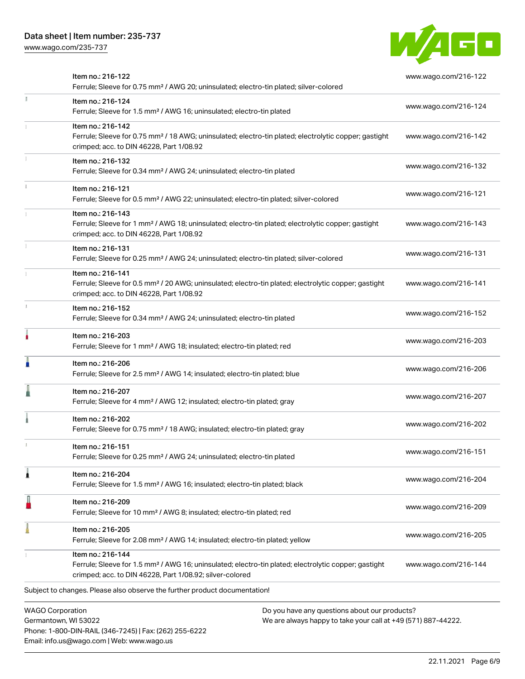Phone: 1-800-DIN-RAIL (346-7245) | Fax: (262) 255-6222

Email: info.us@wago.com | Web: www.wago.us

[www.wago.com/235-737](http://www.wago.com/235-737)



|                         | Item no.: 216-122<br>Ferrule; Sleeve for 0.75 mm <sup>2</sup> / AWG 20; uninsulated; electro-tin plated; silver-colored                                                                           |                                                                                                                | www.wago.com/216-122 |
|-------------------------|---------------------------------------------------------------------------------------------------------------------------------------------------------------------------------------------------|----------------------------------------------------------------------------------------------------------------|----------------------|
| J.                      | Item no.: 216-124<br>Ferrule; Sleeve for 1.5 mm <sup>2</sup> / AWG 16; uninsulated; electro-tin plated                                                                                            |                                                                                                                | www.wago.com/216-124 |
|                         | Item no.: 216-142<br>Ferrule; Sleeve for 0.75 mm <sup>2</sup> / 18 AWG; uninsulated; electro-tin plated; electrolytic copper; gastight<br>crimped; acc. to DIN 46228, Part 1/08.92                |                                                                                                                | www.wago.com/216-142 |
|                         | Item no.: 216-132<br>Ferrule; Sleeve for 0.34 mm <sup>2</sup> / AWG 24; uninsulated; electro-tin plated                                                                                           |                                                                                                                | www.wago.com/216-132 |
|                         | Item no.: 216-121<br>Ferrule; Sleeve for 0.5 mm <sup>2</sup> / AWG 22; uninsulated; electro-tin plated; silver-colored                                                                            |                                                                                                                | www.wago.com/216-121 |
|                         | Item no.: 216-143<br>Ferrule; Sleeve for 1 mm <sup>2</sup> / AWG 18; uninsulated; electro-tin plated; electrolytic copper; gastight<br>crimped; acc. to DIN 46228, Part 1/08.92                   |                                                                                                                | www.wago.com/216-143 |
|                         | Item no.: 216-131<br>Ferrule; Sleeve for 0.25 mm <sup>2</sup> / AWG 24; uninsulated; electro-tin plated; silver-colored                                                                           |                                                                                                                | www.wago.com/216-131 |
|                         | Item no.: 216-141<br>Ferrule; Sleeve for 0.5 mm <sup>2</sup> / 20 AWG; uninsulated; electro-tin plated; electrolytic copper; gastight<br>crimped; acc. to DIN 46228, Part 1/08.92                 |                                                                                                                | www.wago.com/216-141 |
|                         | Item no.: 216-152<br>Ferrule; Sleeve for 0.34 mm <sup>2</sup> / AWG 24; uninsulated; electro-tin plated                                                                                           |                                                                                                                | www.wago.com/216-152 |
|                         | Item no.: 216-203<br>Ferrule; Sleeve for 1 mm <sup>2</sup> / AWG 18; insulated; electro-tin plated; red                                                                                           |                                                                                                                | www.wago.com/216-203 |
|                         | Item no.: 216-206<br>Ferrule; Sleeve for 2.5 mm <sup>2</sup> / AWG 14; insulated; electro-tin plated; blue                                                                                        |                                                                                                                | www.wago.com/216-206 |
|                         | Item no.: 216-207<br>Ferrule; Sleeve for 4 mm <sup>2</sup> / AWG 12; insulated; electro-tin plated; gray                                                                                          |                                                                                                                | www.wago.com/216-207 |
|                         | Item no.: 216-202<br>Ferrule; Sleeve for 0.75 mm <sup>2</sup> / 18 AWG; insulated; electro-tin plated; gray                                                                                       |                                                                                                                | www.wago.com/216-202 |
|                         | Item no.: 216-151<br>Ferrule; Sleeve for 0.25 mm <sup>2</sup> / AWG 24; uninsulated; electro-tin plated                                                                                           |                                                                                                                | www.wago.com/216-151 |
|                         | Item no.: 216-204<br>Ferrule; Sleeve for 1.5 mm <sup>2</sup> / AWG 16; insulated; electro-tin plated; black                                                                                       |                                                                                                                | www.wago.com/216-204 |
|                         | Item no.: 216-209<br>Ferrule; Sleeve for 10 mm <sup>2</sup> / AWG 8; insulated; electro-tin plated; red                                                                                           |                                                                                                                | www.wago.com/216-209 |
|                         | Item no.: 216-205<br>Ferrule; Sleeve for 2.08 mm <sup>2</sup> / AWG 14; insulated; electro-tin plated; yellow                                                                                     |                                                                                                                | www.wago.com/216-205 |
|                         | Item no.: 216-144<br>Ferrule; Sleeve for 1.5 mm <sup>2</sup> / AWG 16; uninsulated; electro-tin plated; electrolytic copper; gastight<br>crimped; acc. to DIN 46228, Part 1/08.92; silver-colored |                                                                                                                | www.wago.com/216-144 |
|                         | Subject to changes. Please also observe the further product documentation!                                                                                                                        |                                                                                                                |                      |
| <b>WAGO Corporation</b> | Germantown, WI 53022                                                                                                                                                                              | Do you have any questions about our products?<br>We are always happy to take your call at +49 (571) 887-44222. |                      |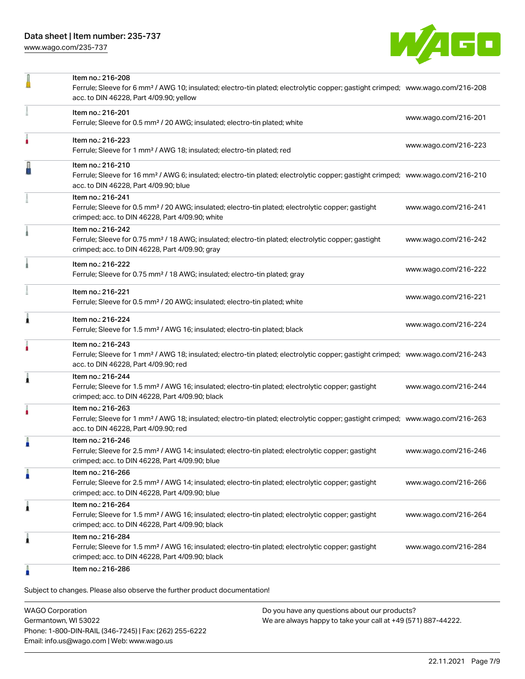[www.wago.com/235-737](http://www.wago.com/235-737)



|   | Item no.: 216-208<br>Ferrule; Sleeve for 6 mm <sup>2</sup> / AWG 10; insulated; electro-tin plated; electrolytic copper; gastight crimped; www.wago.com/216-208<br>acc. to DIN 46228, Part 4/09.90; yellow |                      |
|---|------------------------------------------------------------------------------------------------------------------------------------------------------------------------------------------------------------|----------------------|
|   | Item no.: 216-201<br>Ferrule; Sleeve for 0.5 mm <sup>2</sup> / 20 AWG; insulated; electro-tin plated; white                                                                                                | www.wago.com/216-201 |
|   | Item no.: 216-223<br>Ferrule; Sleeve for 1 mm <sup>2</sup> / AWG 18; insulated; electro-tin plated; red                                                                                                    | www.wago.com/216-223 |
|   | Item no.: 216-210<br>Ferrule; Sleeve for 16 mm <sup>2</sup> / AWG 6; insulated; electro-tin plated; electrolytic copper; gastight crimped; www.wago.com/216-210<br>acc. to DIN 46228, Part 4/09.90; blue   |                      |
|   | Item no.: 216-241<br>Ferrule; Sleeve for 0.5 mm <sup>2</sup> / 20 AWG; insulated; electro-tin plated; electrolytic copper; gastight<br>crimped; acc. to DIN 46228, Part 4/09.90; white                     | www.wago.com/216-241 |
|   | Item no.: 216-242<br>Ferrule; Sleeve for 0.75 mm <sup>2</sup> / 18 AWG; insulated; electro-tin plated; electrolytic copper; gastight<br>crimped; acc. to DIN 46228, Part 4/09.90; gray                     | www.wago.com/216-242 |
|   | Item no.: 216-222<br>Ferrule; Sleeve for 0.75 mm <sup>2</sup> / 18 AWG; insulated; electro-tin plated; gray                                                                                                | www.wago.com/216-222 |
|   | Item no.: 216-221<br>Ferrule; Sleeve for 0.5 mm <sup>2</sup> / 20 AWG; insulated; electro-tin plated; white                                                                                                | www.wago.com/216-221 |
| À | Item no.: 216-224<br>Ferrule; Sleeve for 1.5 mm <sup>2</sup> / AWG 16; insulated; electro-tin plated; black                                                                                                | www.wago.com/216-224 |
|   | Item no.: 216-243<br>Ferrule; Sleeve for 1 mm <sup>2</sup> / AWG 18; insulated; electro-tin plated; electrolytic copper; gastight crimped; www.wago.com/216-243<br>acc. to DIN 46228, Part 4/09.90; red    |                      |
| ۸ | Item no.: 216-244<br>Ferrule; Sleeve for 1.5 mm <sup>2</sup> / AWG 16; insulated; electro-tin plated; electrolytic copper; gastight<br>crimped; acc. to DIN 46228, Part 4/09.90; black                     | www.wago.com/216-244 |
|   | Item no.: 216-263<br>Ferrule; Sleeve for 1 mm <sup>2</sup> / AWG 18; insulated; electro-tin plated; electrolytic copper; gastight crimped; www.wago.com/216-263<br>acc. to DIN 46228, Part 4/09.90; red    |                      |
|   | Item no.: 216-246<br>Ferrule; Sleeve for 2.5 mm <sup>2</sup> / AWG 14; insulated; electro-tin plated; electrolytic copper; gastight<br>crimped; acc. to DIN 46228, Part 4/09.90; blue                      | www.wago.com/216-246 |
| Ä | Item no.: 216-266<br>Ferrule; Sleeve for 2.5 mm <sup>2</sup> / AWG 14; insulated; electro-tin plated; electrolytic copper; gastight<br>crimped; acc. to DIN 46228, Part 4/09.90; blue                      | www.wago.com/216-266 |
| 1 | Item no.: 216-264<br>Ferrule; Sleeve for 1.5 mm <sup>2</sup> / AWG 16; insulated; electro-tin plated; electrolytic copper; gastight<br>crimped; acc. to DIN 46228, Part 4/09.90; black                     | www.wago.com/216-264 |
| 1 | Item no.: 216-284<br>Ferrule; Sleeve for 1.5 mm <sup>2</sup> / AWG 16; insulated; electro-tin plated; electrolytic copper; gastight<br>crimped; acc. to DIN 46228, Part 4/09.90; black                     | www.wago.com/216-284 |
|   | Item no.: 216-286                                                                                                                                                                                          |                      |

Subject to changes. Please also observe the further product documentation!

WAGO Corporation Germantown, WI 53022 Phone: 1-800-DIN-RAIL (346-7245) | Fax: (262) 255-6222 Email: info.us@wago.com | Web: www.wago.us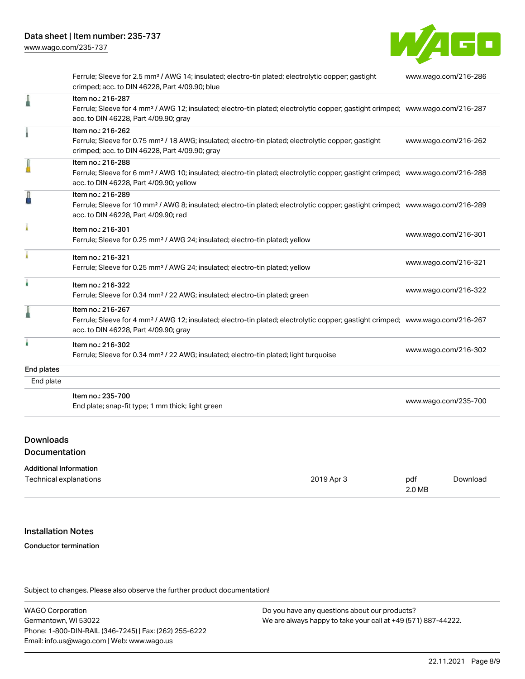[www.wago.com/235-737](http://www.wago.com/235-737)



Ferrule; Sleeve for 2.5 mm² / AWG 14; insulated; electro-tin plated; electrolytic copper; gastight crimped; acc. to DIN 46228, Part 4/09.90; blue [www.wago.com/216-286](http://www.wago.com/216-286) Item no.: 216-287 Ferrule; Sleeve for 4 mm² / AWG 12; insulated; electro-tin plated; electrolytic copper; gastight crimped; [www.wago.com/216-287](http://www.wago.com/216-287) acc. to DIN 46228, Part 4/09.90; gray Item no.: 216-262 Ferrule; Sleeve for 0.75 mm² / 18 AWG; insulated; electro-tin plated; electrolytic copper; gastight crimped; acc. to DIN 46228, Part 4/09.90; gray [www.wago.com/216-262](http://www.wago.com/216-262) Item no.: 216-288 Ferrule; Sleeve for 6 mm² / AWG 10; insulated; electro-tin plated; electrolytic copper; gastight crimped; [www.wago.com/216-288](http://www.wago.com/216-288) acc. to DIN 46228, Part 4/09.90; yellow Item no.: 216-289 Ferrule; Sleeve for 10 mm² / AWG 8; insulated; electro-tin plated; electrolytic copper; gastight crimped; [www.wago.com/216-289](http://www.wago.com/216-289) acc. to DIN 46228, Part 4/09.90; red Item no.: 216-301 Ferrule; Sleeve for 0.25 mm² / AWG 24; insulated; electro-tin plated; yellow [www.wago.com/216-301](http://www.wago.com/216-301) Item no.: 216-321 Ferrule; Sleeve for 0.25 mm² / AWG 24; insulated; electro-tin plated; yellow [www.wago.com/216-321](http://www.wago.com/216-321) Item no.: 216-322 Ferrule; Sleeve for 0.34 mm² / 22 AWG; insulated; electro-tin plated; green [www.wago.com/216-322](http://www.wago.com/216-322) Item no.: 216-267 Ferrule; Sleeve for 4 mm² / AWG 12; insulated; electro-tin plated; electrolytic copper; gastight crimped; [www.wago.com/216-267](http://www.wago.com/216-267) acc. to DIN 46228, Part 4/09.90; gray Item no.: 216-302 Ferrule; Sleeve for 0.34 mm² / 22 AWG; insulated; electro-tin plated; light turquoise [www.wago.com/216-302](http://www.wago.com/216-302) End plates End plate Item no.: 235-700 End plate; snap-fit type; 1 mm thick; light green [www.wago.com/235-700](http://www.wago.com/235-700)

## Downloads

Documentation

| <b>Additional Information</b> |            |        |          |
|-------------------------------|------------|--------|----------|
| Technical explanations        | 2019 Apr 3 | pdf    | Download |
|                               |            | 2.0 MB |          |

#### Installation Notes

#### Conductor termination

Subject to changes. Please also observe the further product documentation!

WAGO Corporation Germantown, WI 53022 Phone: 1-800-DIN-RAIL (346-7245) | Fax: (262) 255-6222 Email: info.us@wago.com | Web: www.wago.us